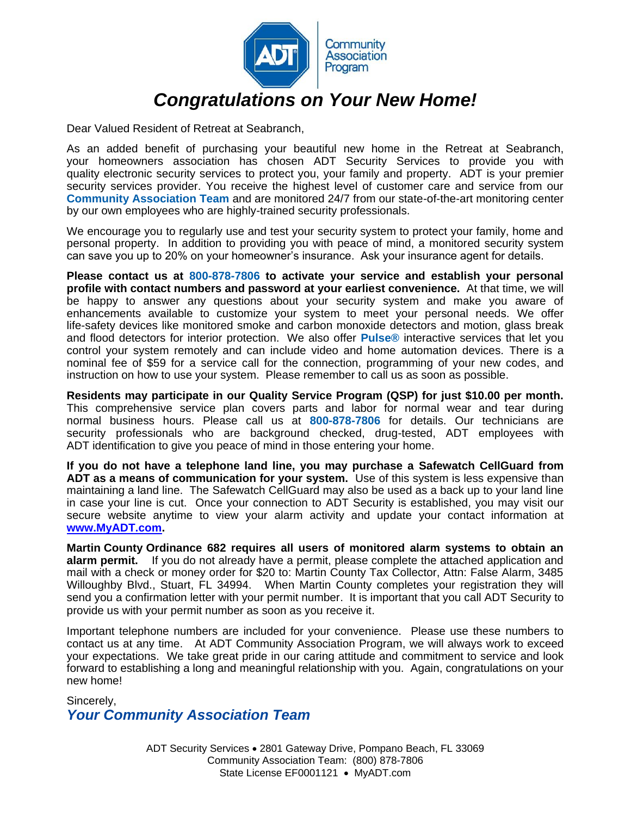

Dear Valued Resident of Retreat at Seabranch,

As an added benefit of purchasing your beautiful new home in the Retreat at Seabranch, your homeowners association has chosen ADT Security Services to provide you with quality electronic security services to protect you, your family and property. ADT is your premier security services provider. You receive the highest level of customer care and service from our **Community Association Team** and are monitored 24/7 from our state-of-the-art monitoring center by our own employees who are highly-trained security professionals.

We encourage you to regularly use and test your security system to protect your family, home and personal property. In addition to providing you with peace of mind, a monitored security system can save you up to 20% on your homeowner's insurance. Ask your insurance agent for details.

**Please contact us at 800-878-7806 to activate your service and establish your personal profile with contact numbers and password at your earliest convenience.** At that time, we will be happy to answer any questions about your security system and make you aware of enhancements available to customize your system to meet your personal needs. We offer life-safety devices like monitored smoke and carbon monoxide detectors and motion, glass break and flood detectors for interior protection. We also offer **Pulse®** interactive services that let you control your system remotely and can include video and home automation devices. There is a nominal fee of \$59 for a service call for the connection, programming of your new codes, and instruction on how to use your system. Please remember to call us as soon as possible.

**Residents may participate in our Quality Service Program (QSP) for just \$10.00 per month.** This comprehensive service plan covers parts and labor for normal wear and tear during normal business hours. Please call us at **800-878-7806** for details. Our technicians are security professionals who are background checked, drug-tested, ADT employees with ADT identification to give you peace of mind in those entering your home.

**If you do not have a telephone land line, you may purchase a Safewatch CellGuard from ADT as a means of communication for your system.** Use of this system is less expensive than maintaining a land line. The Safewatch CellGuard may also be used as a back up to your land line in case your line is cut. Once your connection to ADT Security is established, you may visit our secure website anytime to view your alarm activity and update your contact information at **[www.MyADT.com.](http://www.myadt.com/)**

**Martin County Ordinance 682 requires all users of monitored alarm systems to obtain an alarm permit.** If you do not already have a permit, please complete the attached application and mail with a check or money order for \$20 to: Martin County Tax Collector, Attn: False Alarm, 3485 Willoughby Blvd., Stuart, FL 34994. When Martin County completes your registration they will send you a confirmation letter with your permit number. It is important that you call ADT Security to provide us with your permit number as soon as you receive it.

Important telephone numbers are included for your convenience. Please use these numbers to contact us at any time. At ADT Community Association Program, we will always work to exceed your expectations. We take great pride in our caring attitude and commitment to service and look forward to establishing a long and meaningful relationship with you. Again, congratulations on your new home!

Sincerely, *Your Community Association Team*

> ADT Security Services . 2801 Gateway Drive, Pompano Beach, FL 33069 Community Association Team:(800) 878-7806 State License EF0001121 • MyADT.com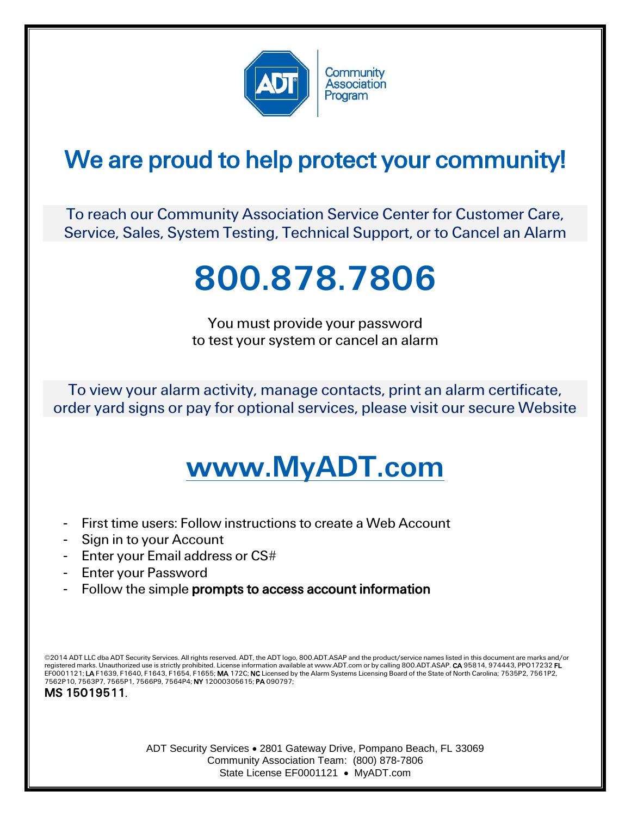

## We are proud to help protect your community!

To reach our Community Association Service Center for Customer Care, Service, Sales, System Testing, Technical Support, or to Cancel an Alarm

## 800.878.7806

You must provide your password to test your system or cancel an alarm

To view your alarm activity, manage contacts, print an alarm certificate, order yard signs or pay for optional services, please visit our secure Website

## www.MyADT.com

- First time users: Follow instructions to create a Web Account
- Sign in to your Account
- Enter your Email address or CS#
- Enter your Password
- Follow the simple prompts to access account information

©2014 ADT LLC dba ADT Security Services. All rights reserved. ADT, the ADT logo, 800.ADT.ASAP and the product/service names listed in this document are marks and/or registered marks. Unauthorized use is strictly prohibited. License information available at www.ADT.com or by calling 800.ADT.ASAP. CA 95814, 974443, PPO17232 FL EF0001121; **LA** F1639, F1640, F1643, F1654, F1655; **MA** 172C; **NC** Licensed by the Alarm Systems Licensing Board of the State of North Carolina; 7535P2, 7561P2,<br>7562P10, 7563P7, 7565P1, 7566P9, 7564P4; **NY** 12000305615; **P** 

MS 15019511.

ADT Security Services 2801 Gateway Drive, Pompano Beach, FL 33069 Community Association Team:(800) 878-7806 State License EF0001121 • MyADT.com